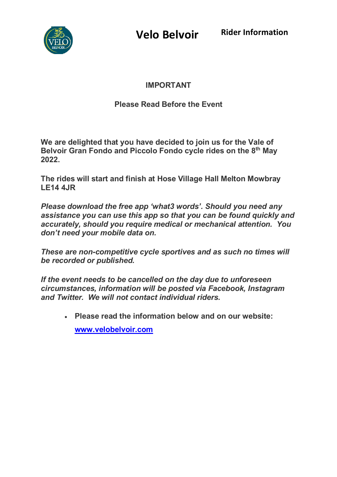

**Velo Belvoir Rider Information**

# **IMPORTANT**

# **Please Read Before the Event**

**We are delighted that you have decided to join us for the Vale of Belvoir Gran Fondo and Piccolo Fondo cycle rides on the 8th May 2022.** 

**The rides will start and finish at Hose Village Hall Melton Mowbray LE14 4JR**

*Please download the free app 'what3 words'. Should you need any assistance you can use this app so that you can be found quickly and accurately, should you require medical or mechanical attention. You don't need your mobile data on.*

*These are non-competitive cycle sportives and as such no times will be recorded or published.*

*If the event needs to be cancelled on the day due to unforeseen circumstances, information will be posted via Facebook, Instagram and Twitter. We will not contact individual riders.*

• **Please read the information below and on our website: [www.velobelvoir.com](http://www.velobelvoir.com/)**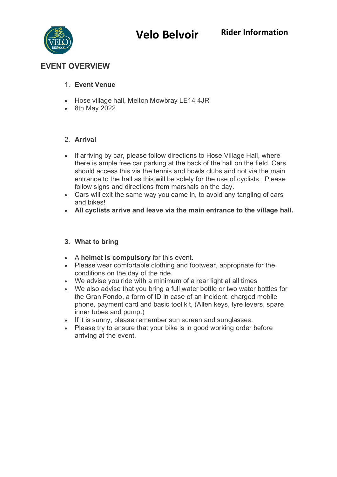**Velo Belvoir Rider Information**



# **EVENT OVERVIEW**

#### 1. **Event Venue**

- Hose village hall, Melton Mowbray LE14 4JR
- 8th May 2022

#### 2. **Arrival**

- If arriving by car, please follow directions to Hose Village Hall, where there is ample free car parking at the back of the hall on the field. Cars should access this via the tennis and bowls clubs and not via the main entrance to the hall as this will be solely for the use of cyclists. Please follow signs and directions from marshals on the day.
- Cars will exit the same way you came in, to avoid any tangling of cars and bikes!
- **All cyclists arrive and leave via the main entrance to the village hall.**

#### **3. What to bring**

- A **helmet is compulsory** for this event.
- Please wear comfortable clothing and footwear, appropriate for the conditions on the day of the ride.
- We advise you ride with a minimum of a rear light at all times
- We also advise that you bring a full water bottle or two water bottles for the Gran Fondo, a form of ID in case of an incident, charged mobile phone, payment card and basic tool kit, (Allen keys, tyre levers, spare inner tubes and pump.)
- If it is sunny, please remember sun screen and sunglasses.
- Please try to ensure that your bike is in good working order before arriving at the event.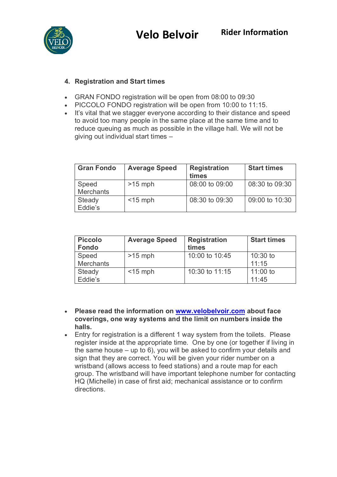

### **4. [Registration and Start times](http://www.2wheelsandapieceofcake.co.uk/blast-20-timings)**

- GRAN FONDO registration will be open from 08:00 to 09:30
- PICCOLO FONDO registration will be open from 10:00 to 11:15.
- It's vital that we stagger everyone according to their distance and speed to avoid too many people in the same place at the same time and to reduce queuing as much as possible in the village hall. We will not be giving out individual start times –

| <b>Gran Fondo</b>         | <b>Average Speed</b> | <b>Registration</b><br>times | <b>Start times</b> |
|---------------------------|----------------------|------------------------------|--------------------|
| Speed<br><b>Merchants</b> | $>15$ mph            | 08:00 to 09:00               | 08:30 to 09:30     |
| Steady<br>Eddie's         | $<$ 15 mph           | $08:30$ to $09:30$           | 09:00 to 10:30     |

| <b>Piccolo</b><br><b>Fondo</b> | <b>Average Speed</b> | <b>Registration</b><br>times | <b>Start times</b> |
|--------------------------------|----------------------|------------------------------|--------------------|
| Speed                          | $>15$ mph            | 10:00 to 10:45               | $10:30$ to         |
| <b>Merchants</b>               |                      |                              | 11:15              |
| Steady                         | $<$ 15 mph           | 10:30 to 11:15               | 11:00 to           |
| Eddie's                        |                      |                              | 11:45              |

- **Please read the information on [www.velobelvoir.com](http://www.velobelvoir.com/) about face coverings, one way systems and the limit on numbers inside the halls.**
- Entry for registration is a different 1 way system from the toilets. Please register inside at the appropriate time. One by one (or together if living in the same house – up to 6), you will be asked to confirm your details and sign that they are correct. You will be given your rider number on a wristband (allows access to feed stations) and a route map for each group. The wristband will have important telephone number for contacting HQ (Michelle) in case of first aid; mechanical assistance or to confirm directions.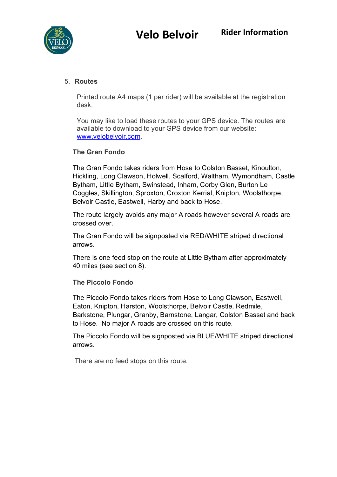

### 5. **Routes**

Printed route A4 maps (1 per rider) will be available at the registration desk.

You may like to load these routes to your GPS device. The routes are available to download to your GPS device from our website: [www.velobelvoir.com.](http://www.velobelvoir.com/)

#### **The Gran Fondo**

The Gran Fondo takes riders from Hose to Colston Basset, Kinoulton, Hickling, Long Clawson, Holwell, Scalford, Waltham, Wymondham, Castle Bytham, Little Bytham, Swinstead, Inham, Corby Glen, Burton Le Coggles, Skillington, Sproxton, Croxton Kerrial, Knipton, Woolsthorpe, Belvoir Castle, Eastwell, Harby and back to Hose.

The route largely avoids any major A roads however several A roads are crossed over.

The Gran Fondo will be signposted via RED/WHITE striped directional arrows.

There is one feed stop on the route at Little Bytham after approximately 40 miles (see section 8).

**The Piccolo Fondo**

The Piccolo Fondo takes riders from Hose to Long Clawson, Eastwell, Eaton, Knipton, Harston, Woolsthorpe, Belvoir Castle, Redmile, Barkstone, Plungar, Granby, Barnstone, Langar, Colston Basset and back to Hose. No major A roads are crossed on this route.

The Piccolo Fondo will be signposted via BLUE/WHITE striped directional arrows.

There are no feed stops on this route.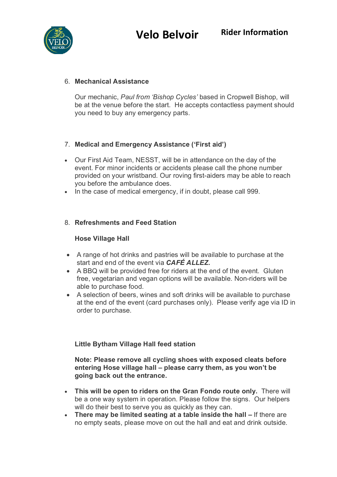

### 6. **Mechanical Assistance**

Our mechanic, *Paul from 'Bishop Cycles'* based in Cropwell Bishop, will be at the venue before the start. He accepts contactless payment should you need to buy any emergency parts.

# 7. **Medical and Emergency Assistance ('First aid')**

- Our First Aid Team, NESST, will be in attendance on the day of the event. For minor incidents or accidents please call the phone number provided on your wristband. Our roving first-aiders may be able to reach you before the ambulance does.
- In the case of medical emergency, if in doubt, please call 999.

# 8. **Refreshments and Feed Station**

## **Hose Village Hall**

- A range of hot drinks and pastries will be available to purchase at the start and end of the event via *CAFÉ ALLEZ.*
- A BBQ will be provided free for riders at the end of the event. Gluten free, vegetarian and vegan options will be available. Non-riders will be able to purchase food.
- A selection of beers, wines and soft drinks will be available to purchase at the end of the event (card purchases only). Please verify age via ID in order to purchase.

#### **Little Bytham Village Hall feed station**

#### **Note: Please remove all cycling shoes with exposed cleats before entering Hose village hall – please carry them, as you won't be going back out the entrance.**

- **This will be open to riders on the Gran Fondo route only.** There will be a one way system in operation. Please follow the signs. Our helpers will do their best to serve you as quickly as they can.
- **There may be limited seating at a table inside the hall** If there are no empty seats, please move on out the hall and eat and drink outside.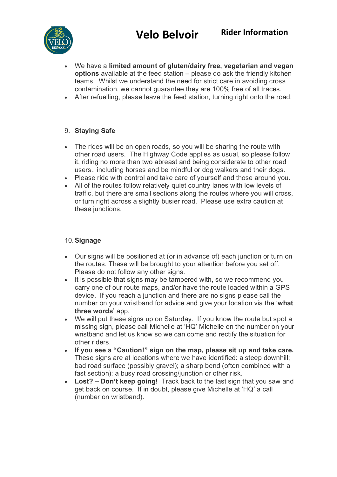

- We have a **limited amount of gluten/dairy free, vegetarian and vegan options** available at the feed station – please do ask the friendly kitchen teams. Whilst we understand the need for strict care in avoiding cross contamination, we cannot guarantee they are 100% free of all traces.
- After refuelling, please leave the feed station, turning right onto the road.

## 9. **Staying Safe**

- The rides will be on open roads, so you will be sharing the route with other road users. The Highway Code applies as usual, so please follow it, riding no more than two abreast and being considerate to other road users., including horses and be mindful or dog walkers and their dogs.
- Please ride with control and take care of yourself and those around you.
- All of the routes follow relatively quiet country lanes with low levels of traffic, but there are small sections along the routes where you will cross, or turn right across a slightly busier road. Please use extra caution at these junctions.

# 10.**Signage**

- Our signs will be positioned at (or in advance of) each junction or turn on the routes. These will be brought to your attention before you set off. Please do not follow any other signs.
- It is possible that signs may be tampered with, so we recommend you carry one of our route maps, and/or have the route loaded within a GPS device. If you reach a junction and there are no signs please call the number on your wristband for advice and give your location via the '**what three words**' app.
- We will put these signs up on Saturday. If you know the route but spot a missing sign, please call Michelle at 'HQ' Michelle on the number on your wristband and let us know so we can come and rectify the situation for other riders.
- **If you see a "Caution!" sign on the map, please sit up and take care.**  These signs are at locations where we have identified: a steep downhill; bad road surface (possibly gravel); a sharp bend (often combined with a fast section); a busy road crossing/junction or other risk.
- **Lost? Don't keep going!** Track back to the last sign that you saw and get back on course. If in doubt, please give Michelle at 'HQ' a call (number on wristband).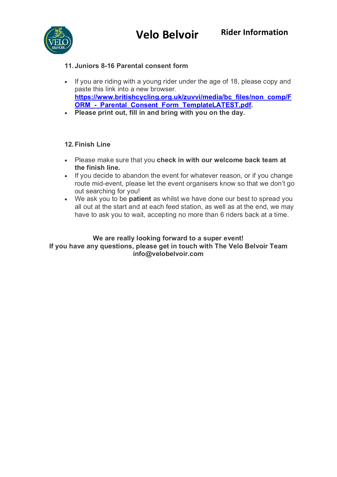

# **11. Juniors 8-16 Parental consent form**

- If you are riding with a young rider under the age of 18, please copy and paste this link into a new browser. **[https://www.britishcycling.org.uk/zuvvi/media/bc\\_files/non\\_comp/F](https://www.britishcycling.org.uk/zuvvi/media/bc_files/non_comp/FORM_-_Parental_Consent_Form_TemplateLATEST.pdf)** ORM - Parental Consent Form TemplateLATEST.pdf.
- **Please print out, fill in and bring with you on the day.**

## **12.Finish Line**

- Please make sure that you **check in with our welcome back team at the finish line.**
- If you decide to abandon the event for whatever reason, or if you change route mid-event, please let the event organisers know so that we don't go out searching for you!
- We ask you to be **patient** as whilst we have done our best to spread you all out at the start and at each feed station, as well as at the end, we may have to ask you to wait, accepting no more than 6 riders back at a time.

#### **We are really looking forward to a super event! If you have any questions, please get in touch with The Velo Belvoir Team info@velobelvoir.com**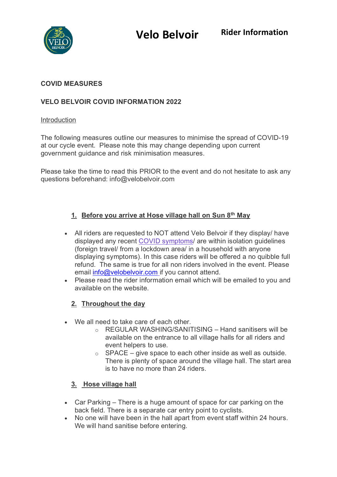

#### **COVID MEASURES**

# **VELO BELVOIR COVID INFORMATION 2022**

#### Introduction

The following measures outline our measures to minimise the spread of COVID-19 at our cycle event. Please note this may change depending upon current government guidance and risk minimisation measures.

Please take the time to read this PRIOR to the event and do not hesitate to ask any questions beforehand: info@velobelvoir.com

## **1. Before you arrive at Hose village hall on Sun 8th May**

- All riders are requested to NOT attend Velo Belvoir if they display/ have displayed any recent [COVID symptoms/](https://www.nhs.uk/conditions/coronavirus-covid-19/symptoms/) are within isolation guidelines (foreign travel/ from a lockdown area/ in a household with anyone displaying symptoms). In this case riders will be offered a no quibble full refund. The same is true for all non riders involved in the event. Please email [info@velobelvoir.com](mailto:info@velobelvoir.com) if you cannot attend.
- Please read the rider information email which will be emailed to you and available on the website.

#### **2. Throughout the day**

- We all need to take care of each other.
	- o REGULAR WASHING/SANITISING Hand sanitisers will be available on the entrance to all village halls for all riders and event helpers to use.
	- $\circ$  SPACE give space to each other inside as well as outside. There is plenty of space around the village hall. The start area is to have no more than 24 riders.

#### **3. Hose village hall**

- Car Parking There is a huge amount of space for car parking on the back field. There is a separate car entry point to cyclists.
- No one will have been in the hall apart from event staff within 24 hours. We will hand sanitise before entering.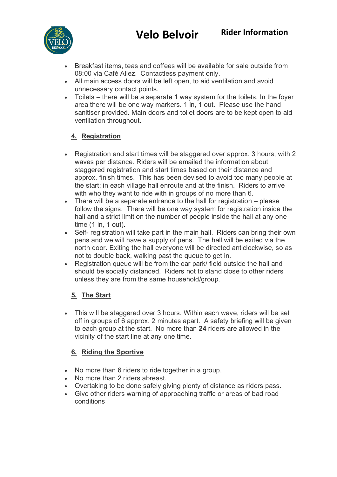

- Breakfast items, teas and coffees will be available for sale outside from 08:00 via Café Allez. Contactless payment only.
- All main access doors will be left open, to aid ventilation and avoid unnecessary contact points.
- Toilets there will be a separate 1 way system for the toilets. In the foyer area there will be one way markers. 1 in, 1 out. Please use the hand sanitiser provided. Main doors and toilet doors are to be kept open to aid ventilation throughout.

# **4. Registration**

- Registration and start times will be staggered over approx. 3 hours, with 2 waves per distance. Riders will be emailed the information about staggered registration and start times based on their distance and approx. finish times. This has been devised to avoid too many people at the start; in each village hall enroute and at the finish. Riders to arrive with who they want to ride with in groups of no more than 6.
- There will be a separate entrance to the hall for registration please follow the signs. There will be one way system for registration inside the hall and a strict limit on the number of people inside the hall at any one time (1 in, 1 out).
- Self- registration will take part in the main hall. Riders can bring their own pens and we will have a supply of pens. The hall will be exited via the north door. Exiting the hall everyone will be directed anticlockwise, so as not to double back, walking past the queue to get in.
- Registration queue will be from the car park/ field outside the hall and should be socially distanced. Riders not to stand close to other riders unless they are from the same household/group.

# **5. The Start**

• This will be staggered over 3 hours. Within each wave, riders will be set off in groups of 6 approx. 2 minutes apart. A safety briefing will be given to each group at the start. No more than **24** riders are allowed in the vicinity of the start line at any one time.

# **6. Riding the Sportive**

- No more than 6 riders to ride together in a group.
- No more than 2 riders abreast.
- Overtaking to be done safely giving plenty of distance as riders pass.
- Give other riders warning of approaching traffic or areas of bad road conditions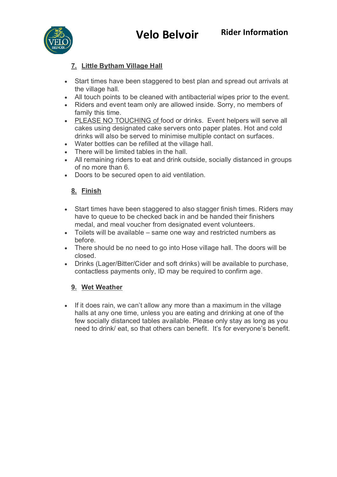

# **7. Little Bytham Village Hall**

- Start times have been staggered to best plan and spread out arrivals at the village hall.
- All touch points to be cleaned with antibacterial wipes prior to the event.
- Riders and event team only are allowed inside. Sorry, no members of family this time.
- PLEASE NO TOUCHING of food or drinks. Event helpers will serve all cakes using designated cake servers onto paper plates. Hot and cold drinks will also be served to minimise multiple contact on surfaces.
- Water bottles can be refilled at the village hall.
- There will be limited tables in the hall.
- All remaining riders to eat and drink outside, socially distanced in groups of no more than 6.
- Doors to be secured open to aid ventilation.

## **8. Finish**

- Start times have been staggered to also stagger finish times. Riders may have to queue to be checked back in and be handed their finishers medal, and meal voucher from designated event volunteers.
- Toilets will be available same one way and restricted numbers as before.
- There should be no need to go into Hose village hall. The doors will be closed.
- Drinks (Lager/Bitter/Cider and soft drinks) will be available to purchase, contactless payments only, ID may be required to confirm age.

# **9. Wet Weather**

• If it does rain, we can't allow any more than a maximum in the village halls at any one time, unless you are eating and drinking at one of the few socially distanced tables available. Please only stay as long as you need to drink/ eat, so that others can benefit. It's for everyone's benefit.